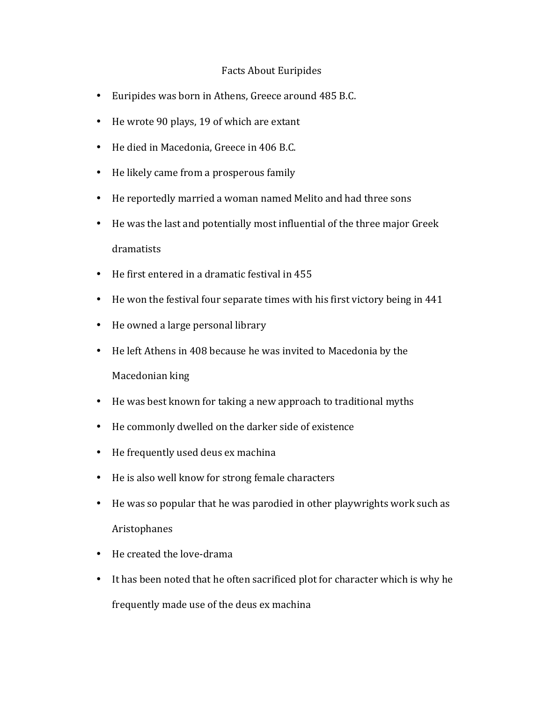## Facts About Euripides

- Euripides was born in Athens, Greece around 485 B.C.
- He wrote 90 plays, 19 of which are extant
- He died in Macedonia, Greece in 406 B.C.
- He likely came from a prosperous family
- He reportedly married a woman named Melito and had three sons
- He was the last and potentially most influential of the three major Greek dramatists
- $\bullet$  He first entered in a dramatic festival in 455
- He won the festival four separate times with his first victory being in 441
- He owned a large personal library
- He left Athens in 408 because he was invited to Macedonia by the Macedonian king
- He was best known for taking a new approach to traditional myths
- He commonly dwelled on the darker side of existence
- He frequently used deus ex machina
- He is also well know for strong female characters
- He was so popular that he was parodied in other playwrights work such as Aristophanes
- He created the love-drama
- It has been noted that he often sacrificed plot for character which is why he frequently made use of the deus ex machina